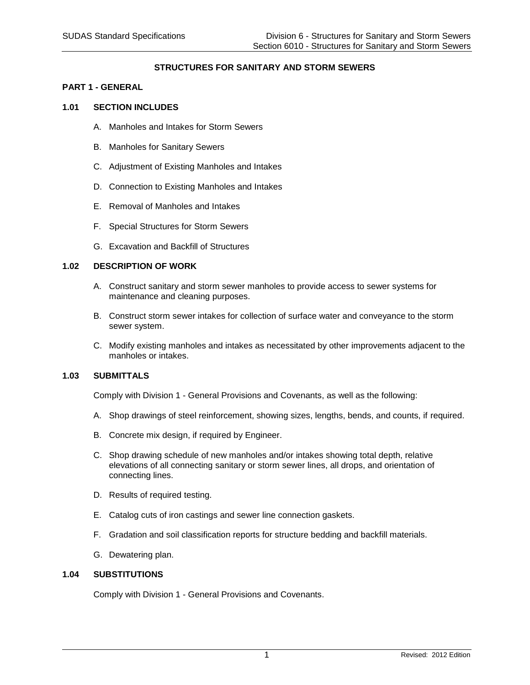# **STRUCTURES FOR SANITARY AND STORM SEWERS**

#### **PART 1 - GENERAL**

#### **1.01 SECTION INCLUDES**

- A. Manholes and Intakes for Storm Sewers
- B. Manholes for Sanitary Sewers
- C. Adjustment of Existing Manholes and Intakes
- D. Connection to Existing Manholes and Intakes
- E. Removal of Manholes and Intakes
- F. Special Structures for Storm Sewers
- G. Excavation and Backfill of Structures

# **1.02 DESCRIPTION OF WORK**

- A. Construct sanitary and storm sewer manholes to provide access to sewer systems for maintenance and cleaning purposes.
- B. Construct storm sewer intakes for collection of surface water and conveyance to the storm sewer system.
- C. Modify existing manholes and intakes as necessitated by other improvements adjacent to the manholes or intakes.

# **1.03 SUBMITTALS**

Comply with Division 1 - General Provisions and Covenants, as well as the following:

- A. Shop drawings of steel reinforcement, showing sizes, lengths, bends, and counts, if required.
- B. Concrete mix design, if required by Engineer.
- C. Shop drawing schedule of new manholes and/or intakes showing total depth, relative elevations of all connecting sanitary or storm sewer lines, all drops, and orientation of connecting lines.
- D. Results of required testing.
- E. Catalog cuts of iron castings and sewer line connection gaskets.
- F. Gradation and soil classification reports for structure bedding and backfill materials.
- G. Dewatering plan.

#### **1.04 SUBSTITUTIONS**

Comply with Division 1 - General Provisions and Covenants.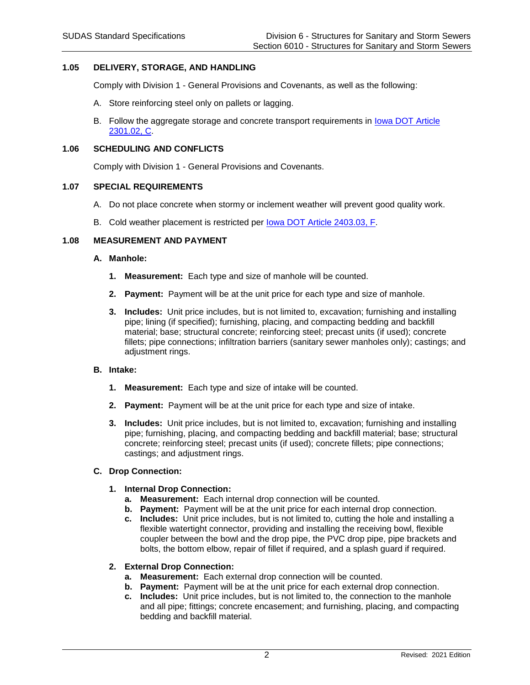# **1.05 DELIVERY, STORAGE, AND HANDLING**

Comply with Division 1 - General Provisions and Covenants, as well as the following:

- A. Store reinforcing steel only on pallets or lagging.
- B. Follow the aggregate storage and concrete transport requirements in [Iowa DOT](https://www.iowadot.gov/erl/current/GS/content/2301.htm#Section230102C) Article [2301.02, C.](https://www.iowadot.gov/erl/current/GS/content/2301.htm#Section230102C)

# **1.06 SCHEDULING AND CONFLICTS**

Comply with Division 1 - General Provisions and Covenants.

#### **1.07 SPECIAL REQUIREMENTS**

- A. Do not place concrete when stormy or inclement weather will prevent good quality work.
- B. Cold weather placement is restricted per [Iowa DOT Article 2403.03, F.](https://www.iowadot.gov/erl/current/GS/content/2403.htm#Section240303F)

# **1.08 MEASUREMENT AND PAYMENT**

#### **A. Manhole:**

- **1. Measurement:** Each type and size of manhole will be counted.
- **2. Payment:** Payment will be at the unit price for each type and size of manhole.
- **3. Includes:** Unit price includes, but is not limited to, excavation; furnishing and installing pipe; lining (if specified); furnishing, placing, and compacting bedding and backfill material; base; structural concrete; reinforcing steel; precast units (if used); concrete fillets; pipe connections; infiltration barriers (sanitary sewer manholes only); castings; and adjustment rings.

#### **B. Intake:**

- **1. Measurement:** Each type and size of intake will be counted.
- **2. Payment:** Payment will be at the unit price for each type and size of intake.
- **3. Includes:** Unit price includes, but is not limited to, excavation; furnishing and installing pipe; furnishing, placing, and compacting bedding and backfill material; base; structural concrete; reinforcing steel; precast units (if used); concrete fillets; pipe connections; castings; and adjustment rings.

# **C. Drop Connection:**

#### **1. Internal Drop Connection:**

- **a. Measurement:** Each internal drop connection will be counted.
- **b. Payment:** Payment will be at the unit price for each internal drop connection.
- **c. Includes:** Unit price includes, but is not limited to, cutting the hole and installing a flexible watertight connector, providing and installing the receiving bowl, flexible coupler between the bowl and the drop pipe, the PVC drop pipe, pipe brackets and bolts, the bottom elbow, repair of fillet if required, and a splash guard if required.

# **2. External Drop Connection:**

- **a. Measurement:** Each external drop connection will be counted.
- **b. Payment:** Payment will be at the unit price for each external drop connection.
- **c. Includes:** Unit price includes, but is not limited to, the connection to the manhole and all pipe; fittings; concrete encasement; and furnishing, placing, and compacting bedding and backfill material.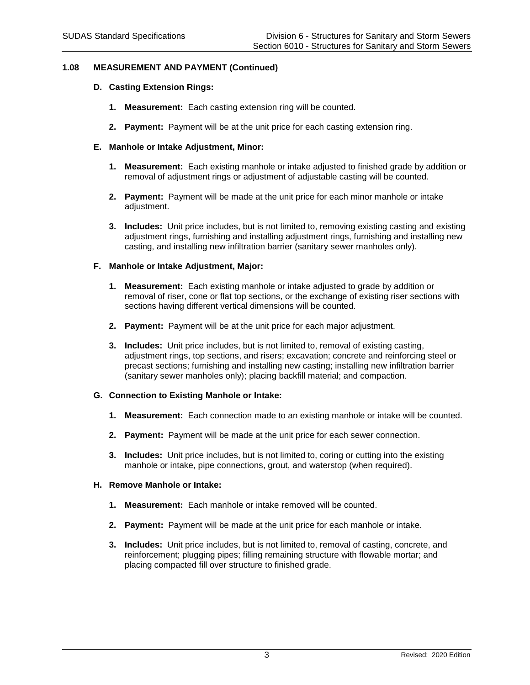# **1.08 MEASUREMENT AND PAYMENT (Continued)**

### **D. Casting Extension Rings:**

- **1. Measurement:** Each casting extension ring will be counted.
- **2. Payment:** Payment will be at the unit price for each casting extension ring.

### **E. Manhole or Intake Adjustment, Minor:**

- **1. Measurement:** Each existing manhole or intake adjusted to finished grade by addition or removal of adjustment rings or adjustment of adjustable casting will be counted.
- **2. Payment:** Payment will be made at the unit price for each minor manhole or intake adjustment.
- **3. Includes:** Unit price includes, but is not limited to, removing existing casting and existing adjustment rings, furnishing and installing adjustment rings, furnishing and installing new casting, and installing new infiltration barrier (sanitary sewer manholes only).

# **F. Manhole or Intake Adjustment, Major:**

- **1. Measurement:** Each existing manhole or intake adjusted to grade by addition or removal of riser, cone or flat top sections, or the exchange of existing riser sections with sections having different vertical dimensions will be counted.
- **2. Payment:** Payment will be at the unit price for each major adjustment.
- **3. Includes:** Unit price includes, but is not limited to, removal of existing casting, adjustment rings, top sections, and risers; excavation; concrete and reinforcing steel or precast sections; furnishing and installing new casting; installing new infiltration barrier (sanitary sewer manholes only); placing backfill material; and compaction.

# **G. Connection to Existing Manhole or Intake:**

- **1. Measurement:** Each connection made to an existing manhole or intake will be counted.
- **2. Payment:** Payment will be made at the unit price for each sewer connection.
- **3. Includes:** Unit price includes, but is not limited to, coring or cutting into the existing manhole or intake, pipe connections, grout, and waterstop (when required).

# **H. Remove Manhole or Intake:**

- **1. Measurement:** Each manhole or intake removed will be counted.
- **2. Payment:** Payment will be made at the unit price for each manhole or intake.
- **3. Includes:** Unit price includes, but is not limited to, removal of casting, concrete, and reinforcement; plugging pipes; filling remaining structure with flowable mortar; and placing compacted fill over structure to finished grade.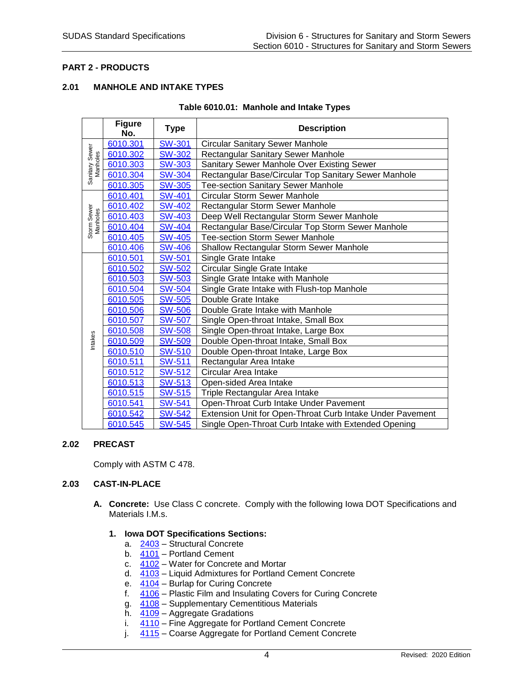# **PART 2 - PRODUCTS**

# **2.01 MANHOLE AND INTAKE TYPES**

|  | Table 6010.01: Manhole and Intake Types |
|--|-----------------------------------------|
|--|-----------------------------------------|

|                            | <b>Figure</b><br>No. | Type          | <b>Description</b>                                        |  |  |  |  |
|----------------------------|----------------------|---------------|-----------------------------------------------------------|--|--|--|--|
|                            | 6010.301             | <b>SW-301</b> | <b>Circular Sanitary Sewer Manhole</b>                    |  |  |  |  |
| Sanitary Sewer<br>Manholes | 6010.302             | <b>SW-302</b> | Rectangular Sanitary Sewer Manhole                        |  |  |  |  |
|                            | 6010.303             | <b>SW-303</b> | Sanitary Sewer Manhole Over Existing Sewer                |  |  |  |  |
|                            | 6010.304             | <b>SW-304</b> | Rectangular Base/Circular Top Sanitary Sewer Manhole      |  |  |  |  |
|                            | 6010.305             | <b>SW-305</b> | <b>Tee-section Sanitary Sewer Manhole</b>                 |  |  |  |  |
|                            | 6010.401             | <b>SW-401</b> | <b>Circular Storm Sewer Manhole</b>                       |  |  |  |  |
| Storm Sewer<br>Manholes    | 6010.402             | <b>SW-402</b> | Rectangular Storm Sewer Manhole                           |  |  |  |  |
|                            | 6010.403             | <b>SW-403</b> | Deep Well Rectangular Storm Sewer Manhole                 |  |  |  |  |
|                            | 6010.404             | <b>SW-404</b> | Rectangular Base/Circular Top Storm Sewer Manhole         |  |  |  |  |
|                            | 6010.405             | <b>SW-405</b> | <b>Tee-section Storm Sewer Manhole</b>                    |  |  |  |  |
|                            | 6010.406             | <b>SW-406</b> | <b>Shallow Rectangular Storm Sewer Manhole</b>            |  |  |  |  |
|                            | 6010.501             | <b>SW-501</b> | Single Grate Intake                                       |  |  |  |  |
|                            | 6010.502             | <b>SW-502</b> | Circular Single Grate Intake                              |  |  |  |  |
|                            | 6010.503             | <b>SW-503</b> | Single Grate Intake with Manhole                          |  |  |  |  |
|                            | 6010.504             | <b>SW-504</b> | Single Grate Intake with Flush-top Manhole                |  |  |  |  |
|                            | 6010.505             | <b>SW-505</b> | Double Grate Intake                                       |  |  |  |  |
|                            | 6010.506             | <b>SW-506</b> | Double Grate Intake with Manhole                          |  |  |  |  |
|                            | 6010.507             | <b>SW-507</b> | Single Open-throat Intake, Small Box                      |  |  |  |  |
|                            | 6010.508             | <b>SW-508</b> | Single Open-throat Intake, Large Box                      |  |  |  |  |
| Intakes                    | 6010.509             | <b>SW-509</b> | Double Open-throat Intake, Small Box                      |  |  |  |  |
|                            | 6010.510             | <b>SW-510</b> | Double Open-throat Intake, Large Box                      |  |  |  |  |
|                            | 6010.511             | <b>SW-511</b> | Rectangular Area Intake                                   |  |  |  |  |
|                            | 6010.512             | <b>SW-512</b> | Circular Area Intake                                      |  |  |  |  |
|                            | 6010.513             | <b>SW-513</b> | Open-sided Area Intake                                    |  |  |  |  |
|                            | 6010.515             | <b>SW-515</b> | Triple Rectangular Area Intake                            |  |  |  |  |
|                            | 6010.541             | <b>SW-541</b> | Open-Throat Curb Intake Under Pavement                    |  |  |  |  |
|                            | 6010.542             | <b>SW-542</b> | Extension Unit for Open-Throat Curb Intake Under Pavement |  |  |  |  |
|                            | 6010.545             | <b>SW-545</b> | Single Open-Throat Curb Intake with Extended Opening      |  |  |  |  |

# **2.02 PRECAST**

Comply with ASTM C 478.

#### **2.03 CAST-IN-PLACE**

**A. Concrete:** Use Class C concrete.Comply with the following Iowa DOT Specifications and Materials I.M.s.

### **1. Iowa DOT Specifications Sections:**

- a. [2403](https://www.iowadot.gov/erl/current/GS/content/2403.htm) Structural Concrete
- b.  $\overline{4101}$  $\overline{4101}$  $\overline{4101}$  Portland Cement
- c. [4102](https://www.iowadot.gov/erl/current/GS/content/4102.htm) Water for Concrete and Mortar
- d. [4103](https://www.iowadot.gov/erl/current/GS/content/4103.htm) Liquid Admixtures for Portland Cement Concrete
- e. [4104](https://www.iowadot.gov/erl/current/GS/content/4104.htm) Burlap for Curing Concrete
- f. [4106](https://www.iowadot.gov/erl/current/GS/content/4106.htm) Plastic Film and Insulating Covers for Curing Concrete
- g. [4108](https://www.iowadot.gov/erl/current/GS/content/4108.htm) Supplementary Cementitious Materials
- h. [4109](https://www.iowadot.gov/erl/current/GS/content/4109.htm) Aggregate Gradations
- i.  $\frac{4110}{ }$  $\frac{4110}{ }$  $\frac{4110}{ }$  Fine Aggregate for Portland Cement Concrete
- j. [4115](https://www.iowadot.gov/erl/current/GS/content/4115.htm) Coarse Aggregate for Portland Cement Concrete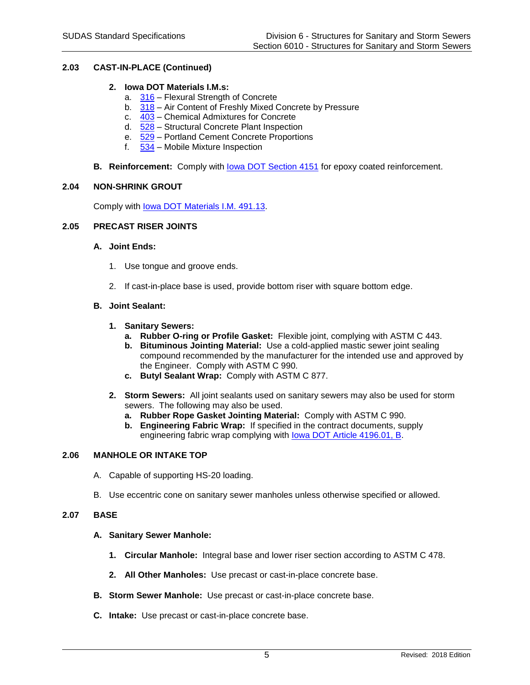# **2.03 CAST-IN-PLACE (Continued)**

### **2. Iowa DOT Materials I.M.s:**

- a. [316](https://www.iowadot.gov/erl/current/IM/content/316.htm) Flexural Strength of Concrete
- b. [318](https://www.iowadot.gov/erl/current/IM/content/318.htm) Air Content of Freshly Mixed Concrete by Pressure
- c. [403](https://www.iowadot.gov/erl/current/IM/content/403.htm) Chemical Admixtures for Concrete
- d. [528](https://www.iowadot.gov/erl/current/IM/content/528.htm) Structural Concrete Plant Inspection
- e. [529](https://www.iowadot.gov/erl/current/IM/content/529.htm) Portland Cement Concrete Proportions
- f.  $534$  Mobile Mixture Inspection
- **B.** Reinforcement: Comply with **lowa DOT Section 4151** for epoxy coated reinforcement.

#### **2.04 NON-SHRINK GROUT**

Comply with [Iowa DOT Materials I.M. 491.13.](https://www.iowadot.gov/erl/current/IM/content/491.13.htm)

# **2.05 PRECAST RISER JOINTS**

#### **A. Joint Ends:**

- 1. Use tongue and groove ends.
- 2. If cast-in-place base is used, provide bottom riser with square bottom edge.

# **B. Joint Sealant:**

- **1. Sanitary Sewers:**
	- **a. Rubber O-ring or Profile Gasket:** Flexible joint, complying with ASTM C 443.
	- **b. Bituminous Jointing Material:** Use a cold-applied mastic sewer joint sealing compound recommended by the manufacturer for the intended use and approved by the Engineer. Comply with ASTM C 990.
	- **c. Butyl Sealant Wrap:** Comply with ASTM C 877.
- **2. Storm Sewers:** All joint sealants used on sanitary sewers may also be used for storm sewers. The following may also be used.
	- **a. Rubber Rope Gasket Jointing Material:** Comply with ASTM C 990.
	- **b. Engineering Fabric Wrap:** If specified in the contract documents, supply engineering fabric wrap complying with [Iowa DOT Article 4196.01, B.](https://www.iowadot.gov/erl/current/GS/content/4196.htm#Section419601B)

#### **2.06 MANHOLE OR INTAKE TOP**

- A. Capable of supporting HS-20 loading.
- B. Use eccentric cone on sanitary sewer manholes unless otherwise specified or allowed.

#### **2.07 BASE**

#### **A. Sanitary Sewer Manhole:**

- **1. Circular Manhole:** Integral base and lower riser section according to ASTM C 478.
- **2. All Other Manholes:** Use precast or cast-in-place concrete base.
- **B. Storm Sewer Manhole:** Use precast or cast-in-place concrete base.
- **C. Intake:** Use precast or cast-in-place concrete base.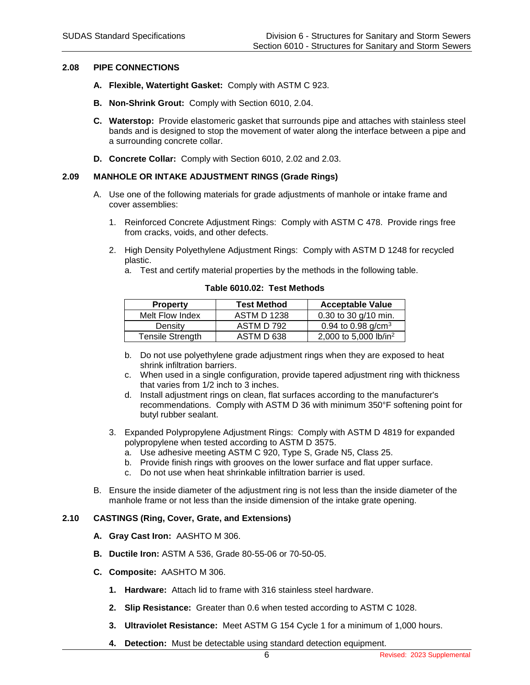#### **2.08 PIPE CONNECTIONS**

- **A. Flexible, Watertight Gasket:** Comply with ASTM C 923.
- **B. Non-Shrink Grout:** Comply with Section 6010, 2.04.
- **C. Waterstop:** Provide elastomeric gasket that surrounds pipe and attaches with stainless steel bands and is designed to stop the movement of water along the interface between a pipe and a surrounding concrete collar.
- **D. Concrete Collar:** Comply with Section 6010, 2.02 and 2.03.

# **2.09 MANHOLE OR INTAKE ADJUSTMENT RINGS (Grade Rings)**

- A. Use one of the following materials for grade adjustments of manhole or intake frame and cover assemblies:
	- 1. Reinforced Concrete Adjustment Rings: Comply with ASTM C 478. Provide rings free from cracks, voids, and other defects.
	- 2. High Density Polyethylene Adjustment Rings: Comply with ASTM D 1248 for recycled plastic.
		- a. Test and certify material properties by the methods in the following table.

| <b>Property</b>         | <b>Test Method</b> | <b>Acceptable Value</b>           |
|-------------------------|--------------------|-----------------------------------|
| Melt Flow Index         | <b>ASTM D 1238</b> | 0.30 to 30 $q/10$ min.            |
| Density                 | ASTM D 792         | 0.94 to 0.98 $q/cm3$              |
| <b>Tensile Strength</b> | ASTM D 638         | 2,000 to 5,000 lb/in <sup>2</sup> |

**Table 6010.02: Test Methods**

- b. Do not use polyethylene grade adjustment rings when they are exposed to heat shrink infiltration barriers.
- c. When used in a single configuration, provide tapered adjustment ring with thickness that varies from 1/2 inch to 3 inches.
- d. Install adjustment rings on clean, flat surfaces according to the manufacturer's recommendations. Comply with ASTM D 36 with minimum 350°F softening point for butyl rubber sealant.
- 3. Expanded Polypropylene Adjustment Rings: Comply with ASTM D 4819 for expanded polypropylene when tested according to ASTM D 3575.
	- a. Use adhesive meeting ASTM C 920, Type S, Grade N5, Class 25.
	- b. Provide finish rings with grooves on the lower surface and flat upper surface.
	- c. Do not use when heat shrinkable infiltration barrier is used.
- B. Ensure the inside diameter of the adjustment ring is not less than the inside diameter of the manhole frame or not less than the inside dimension of the intake grate opening.

#### **2.10 CASTINGS (Ring, Cover, Grate, and Extensions)**

- **A. Gray Cast Iron:** AASHTO M 306.
- **B. Ductile Iron:** ASTM A 536, Grade 80-55-06 or 70-50-05.
- **C. Composite:** AASHTO M 306.
	- **1. Hardware:** Attach lid to frame with 316 stainless steel hardware.
	- **2. Slip Resistance:** Greater than 0.6 when tested according to ASTM C 1028.
	- **3. Ultraviolet Resistance:** Meet ASTM G 154 Cycle 1 for a minimum of 1,000 hours.
	- **4. Detection:** Must be detectable using standard detection equipment.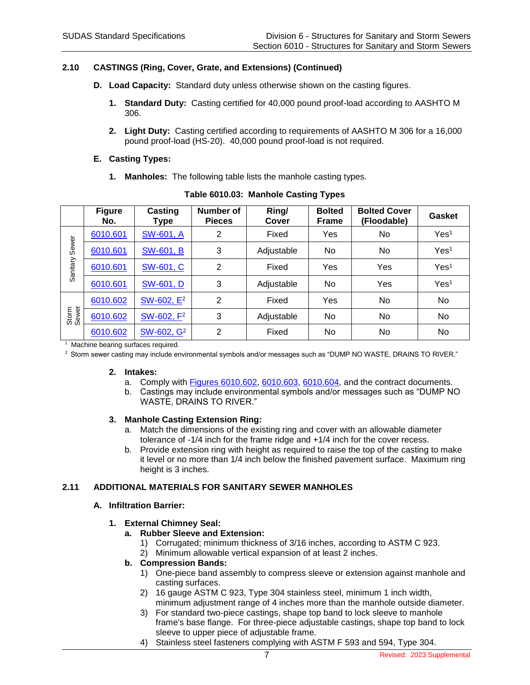# **2.10 CASTINGS (Ring, Cover, Grate, and Extensions) (Continued)**

- **D. Load Capacity:** Standard duty unless otherwise shown on the casting figures.
	- **1. Standard Duty:** Casting certified for 40,000 pound proof-load according to AASHTO M 306.
	- **2. Light Duty:** Casting certified according to requirements of AASHTO M 306 for a 16,000 pound proof-load (HS-20). 40,000 pound proof-load is not required.

#### **E. Casting Types:**

**1. Manholes:** The following table lists the manhole casting types.

|                | <b>Figure</b><br>No. | Casting<br>Type        | Number of<br><b>Pieces</b> | Ring/<br>Cover | <b>Bolted</b><br><b>Frame</b> | <b>Bolted Cover</b><br>(Floodable) | <b>Gasket</b>    |
|----------------|----------------------|------------------------|----------------------------|----------------|-------------------------------|------------------------------------|------------------|
|                | 6010.601             | SW-601, A              | 2                          | Fixed          | Yes                           | No                                 | Yes <sup>1</sup> |
| Sewer          | 6010.601             | <b>SW-601, B</b>       | 3                          | Adjustable     | N <sub>o</sub>                | No                                 | Yes <sup>1</sup> |
| Sanitary       | 6010.601             | SW-601, C              | 2                          | Fixed          | Yes                           | Yes                                | Yes <sup>1</sup> |
|                | 6010.601             | <b>SW-601, D</b>       | 3                          | Adjustable     | No.                           | Yes                                | Yes <sup>1</sup> |
|                | 6010.602             | SW-602, E <sup>2</sup> | 2                          | Fixed          | Yes                           | No                                 | No               |
| Storm<br>Sewer | 6010.602             | SW-602, F <sup>2</sup> | 3                          | Adjustable     | No                            | No                                 | No.              |
|                | 6010.602             | SW-602, G <sup>2</sup> | $\overline{2}$             | Fixed          | No.                           | No                                 | No               |

| Table 6010.03: Manhole Casting Types |  |  |
|--------------------------------------|--|--|
|--------------------------------------|--|--|

<sup>1</sup> Machine bearing surfaces required.

<sup>2</sup> Storm sewer casting may include environmental symbols and/or messages such as "DUMP NO WASTE, DRAINS TO RIVER."

#### **2. Intakes:**

- a. Comply with [Figures 6010.602,](https://intrans.iastate.edu/app/uploads/sites/15/2020/02/6010_602.pdf) [6010.603,](https://intrans.iastate.edu/app/uploads/sites/15/2020/02/6010_603.pdf) [6010.604,](https://intrans.iastate.edu/app/uploads/sites/15/2020/02/6010_604.pdf) and the contract documents.
- b. Castings may include environmental symbols and/or messages such as "DUMP NO WASTE, DRAINS TO RIVER."

#### **3. Manhole Casting Extension Ring:**

- a. Match the dimensions of the existing ring and cover with an allowable diameter tolerance of -1/4 inch for the frame ridge and +1/4 inch for the cover recess.
- b. Provide extension ring with height as required to raise the top of the casting to make it level or no more than 1/4 inch below the finished pavement surface. Maximum ring height is 3 inches.

# **2.11 ADDITIONAL MATERIALS FOR SANITARY SEWER MANHOLES**

#### **A. Infiltration Barrier:**

- **1. External Chimney Seal:**
	- **a. Rubber Sleeve and Extension:**
		- 1) Corrugated; minimum thickness of 3/16 inches, according to ASTM C 923.
		- 2) Minimum allowable vertical expansion of at least 2 inches.

# **b. Compression Bands:**

- 1) One-piece band assembly to compress sleeve or extension against manhole and casting surfaces.
- 2) 16 gauge ASTM C 923, Type 304 stainless steel, minimum 1 inch width, minimum adjustment range of 4 inches more than the manhole outside diameter.
- 3) For standard two-piece castings, shape top band to lock sleeve to manhole frame's base flange. For three-piece adjustable castings, shape top band to lock sleeve to upper piece of adjustable frame.
- 4) Stainless steel fasteners complying with ASTM F 593 and 594, Type 304.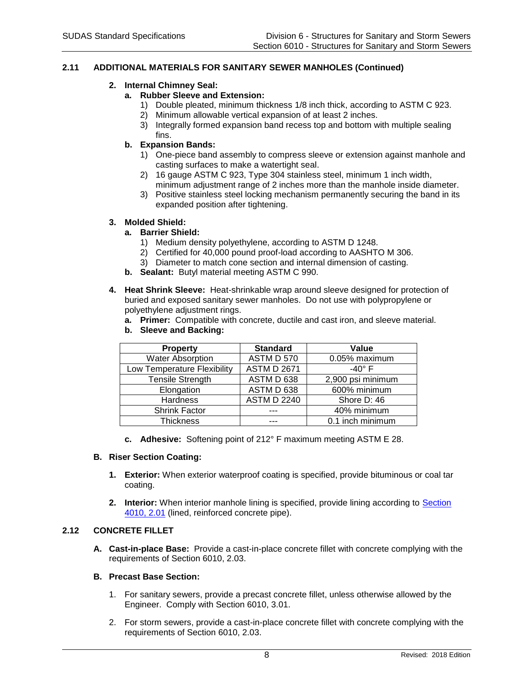## **2.11 ADDITIONAL MATERIALS FOR SANITARY SEWER MANHOLES (Continued)**

# **2. Internal Chimney Seal:**

# **a. Rubber Sleeve and Extension:**

- 1) Double pleated, minimum thickness 1/8 inch thick, according to ASTM C 923.
- 2) Minimum allowable vertical expansion of at least 2 inches.
- 3) Integrally formed expansion band recess top and bottom with multiple sealing fins.

# **b. Expansion Bands:**

- 1) One-piece band assembly to compress sleeve or extension against manhole and casting surfaces to make a watertight seal.
- 2) 16 gauge ASTM C 923, Type 304 stainless steel, minimum 1 inch width, minimum adjustment range of 2 inches more than the manhole inside diameter.
- 3) Positive stainless steel locking mechanism permanently securing the band in its expanded position after tightening.

#### **3. Molded Shield:**

#### **a. Barrier Shield:**

- 1) Medium density polyethylene, according to ASTM D 1248.
- 2) Certified for 40,000 pound proof-load according to AASHTO M 306.
- 3) Diameter to match cone section and internal dimension of casting.
- **b. Sealant:** Butyl material meeting ASTM C 990.
- **4. Heat Shrink Sleeve:** Heat-shrinkable wrap around sleeve designed for protection of buried and exposed sanitary sewer manholes. Do not use with polypropylene or polyethylene adjustment rings.
	- **a. Primer:** Compatible with concrete, ductile and cast iron, and sleeve material.
	- **b. Sleeve and Backing:**

| <b>Property</b>             | <b>Standard</b>    | Value             |
|-----------------------------|--------------------|-------------------|
| <b>Water Absorption</b>     | <b>ASTM D 570</b>  | 0.05% maximum     |
| Low Temperature Flexibility | <b>ASTM D 2671</b> | -40 $\degree$ F   |
| <b>Tensile Strength</b>     | ASTM D 638         | 2,900 psi minimum |
| Elongation                  | ASTM D 638         | 600% minimum      |
| Hardness                    | <b>ASTM D 2240</b> | Shore D: 46       |
| <b>Shrink Factor</b>        |                    | 40% minimum       |
| <b>Thickness</b>            |                    | 0.1 inch minimum  |

**c. Adhesive:** Softening point of 212° F maximum meeting ASTM E 28.

#### **B. Riser Section Coating:**

- **1. Exterior:** When exterior waterproof coating is specified, provide bituminous or coal tar coating.
- **2. Interior:** When interior manhole lining is specified, provide lining according to **Section** [4010, 2.01](https://intrans.iastate.edu/app/uploads/sites/15/2020/02/4010.pdf#page=5) (lined, reinforced concrete pipe).

# **2.12 CONCRETE FILLET**

**A. Cast-in-place Base:** Provide a cast-in-place concrete fillet with concrete complying with the requirements of Section 6010, 2.03.

# **B. Precast Base Section:**

- 1. For sanitary sewers, provide a precast concrete fillet, unless otherwise allowed by the Engineer. Comply with Section 6010, 3.01.
- 2. For storm sewers, provide a cast-in-place concrete fillet with concrete complying with the requirements of Section 6010, 2.03.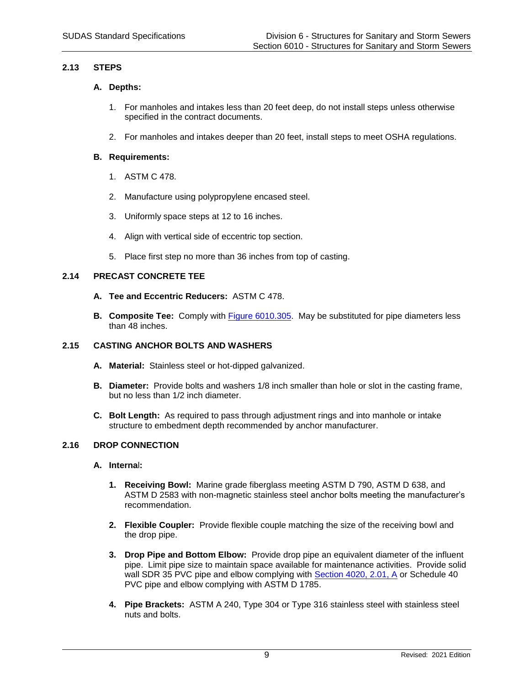# **2.13 STEPS**

# **A. Depths:**

- 1. For manholes and intakes less than 20 feet deep, do not install steps unless otherwise specified in the contract documents.
- 2. For manholes and intakes deeper than 20 feet, install steps to meet OSHA regulations.

# **B. Requirements:**

- 1. ASTM C 478.
- 2. Manufacture using polypropylene encased steel.
- 3. Uniformly space steps at 12 to 16 inches.
- 4. Align with vertical side of eccentric top section.
- 5. Place first step no more than 36 inches from top of casting.

# **2.14 PRECAST CONCRETE TEE**

- **A. Tee and Eccentric Reducers:** ASTM C 478.
- **B. Composite Tee:** Comply with [Figure 6010.305.](https://intrans.iastate.edu/app/uploads/sites/15/2020/02/6010_305.pdf) May be substituted for pipe diameters less than 48 inches.

# **2.15 CASTING ANCHOR BOLTS AND WASHERS**

- **A. Material:** Stainless steel or hot-dipped galvanized.
- **B. Diameter:** Provide bolts and washers 1/8 inch smaller than hole or slot in the casting frame, but no less than 1/2 inch diameter.
- **C. Bolt Length:** As required to pass through adjustment rings and into manhole or intake structure to embedment depth recommended by anchor manufacturer.

#### **2.16 DROP CONNECTION**

#### **A. Interna**l**:**

- **1. Receiving Bowl:** Marine grade fiberglass meeting ASTM D 790, ASTM D 638, and ASTM D 2583 with non-magnetic stainless steel anchor bolts meeting the manufacturer's recommendation.
- **2. Flexible Coupler:** Provide flexible couple matching the size of the receiving bowl and the drop pipe.
- **3. Drop Pipe and Bottom Elbow:** Provide drop pipe an equivalent diameter of the influent pipe. Limit pipe size to maintain space available for maintenance activities. Provide solid wall SDR 35 PVC pipe and elbow complying with [Section 4020, 2.01, A](https://intrans.iastate.edu/app/uploads/sites/15/2020/02/4020.pdf#page=4) or Schedule 40 PVC pipe and elbow complying with ASTM D 1785.
- **4. Pipe Brackets:** ASTM A 240, Type 304 or Type 316 stainless steel with stainless steel nuts and bolts.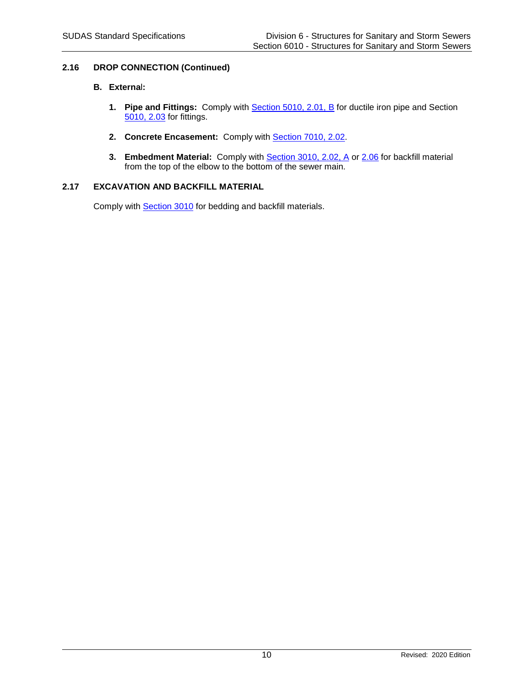# **2.16 DROP CONNECTION (Continued)**

# **B. Externa**l**:**

- **1. Pipe and Fittings:** Comply with **Section 5010, 2.01, B** for ductile iron pipe and Section [5010, 2.03](https://intrans.iastate.edu/app/uploads/sites/15/2020/02/5010.pdf#page=5) for fittings.
- **2. Concrete Encasement:** Comply with [Section 7010, 2.02.](https://intrans.iastate.edu/app/uploads/sites/15/2020/02/7010.pdf#page=6)
- **3. Embedment Material:** Comply with **Section 3010, 2.02, A or [2.06](https://intrans.iastate.edu/app/uploads/sites/15/2020/02/3010.pdf#page=7)** for backfill material from the top of the elbow to the bottom of the sewer main.

# **2.17 EXCAVATION AND BACKFILL MATERIAL**

Comply with [Section 3010](https://intrans.iastate.edu/app/uploads/sites/15/2020/02/3010.pdf) for bedding and backfill materials.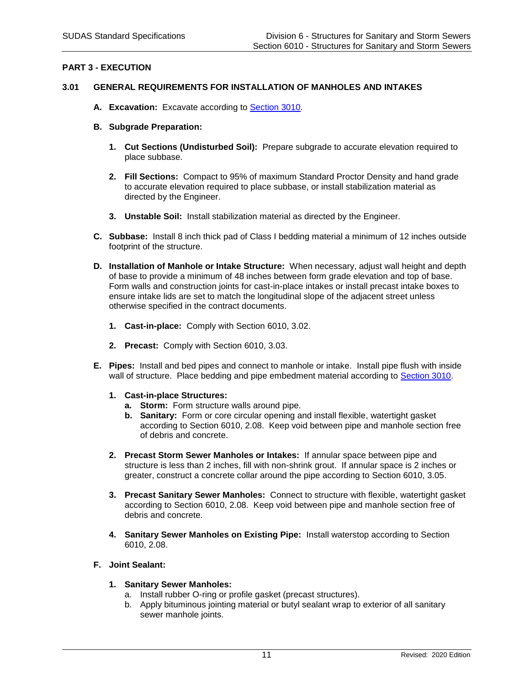# **PART 3 - EXECUTION**

# **3.01 GENERAL REQUIREMENTS FOR INSTALLATION OF MANHOLES AND INTAKES**

- **A. Excavation:** Excavate according to [Section 3010.](https://intrans.iastate.edu/app/uploads/sites/15/2020/02/3010.pdf)
- **B. Subgrade Preparation:**
	- **1. Cut Sections (Undisturbed Soil):** Prepare subgrade to accurate elevation required to place subbase.
	- **2. Fill Sections:** Compact to 95% of maximum Standard Proctor Density and hand grade to accurate elevation required to place subbase, or install stabilization material as directed by the Engineer.
	- **3. Unstable Soil:** Install stabilization material as directed by the Engineer.
- **C. Subbase:** Install 8 inch thick pad of Class I bedding material a minimum of 12 inches outside footprint of the structure.
- **D. Installation of Manhole or Intake Structure:** When necessary, adjust wall height and depth of base to provide a minimum of 48 inches between form grade elevation and top of base. Form walls and construction joints for cast-in-place intakes or install precast intake boxes to ensure intake lids are set to match the longitudinal slope of the adjacent street unless otherwise specified in the contract documents.
	- **1. Cast-in-place:** Comply with Section 6010, 3.02.
	- **2. Precast:** Comply with Section 6010, 3.03.
- **E. Pipes:** Install and bed pipes and connect to manhole or intake. Install pipe flush with inside wall of structure. Place bedding and pipe embedment material according to [Section 3010.](https://intrans.iastate.edu/app/uploads/sites/15/2020/02/3010.pdf)
	- **1. Cast-in-place Structures:**
		- **a. Storm:** Form structure walls around pipe.
		- **b. Sanitary:** Form or core circular opening and install flexible, watertight gasket according to Section 6010, 2.08. Keep void between pipe and manhole section free of debris and concrete.
	- **2. Precast Storm Sewer Manholes or Intakes:** If annular space between pipe and structure is less than 2 inches, fill with non-shrink grout. If annular space is 2 inches or greater, construct a concrete collar around the pipe according to Section 6010, 3.05.
	- **3. Precast Sanitary Sewer Manholes:** Connect to structure with flexible, watertight gasket according to Section 6010, 2.08. Keep void between pipe and manhole section free of debris and concrete.
	- **4. Sanitary Sewer Manholes on Existing Pipe:** Install waterstop according to Section 6010, 2.08.

#### **F. Joint Sealant:**

- **1. Sanitary Sewer Manholes:**
	- a. Install rubber O-ring or profile gasket (precast structures).
	- b. Apply bituminous jointing material or butyl sealant wrap to exterior of all sanitary sewer manhole joints.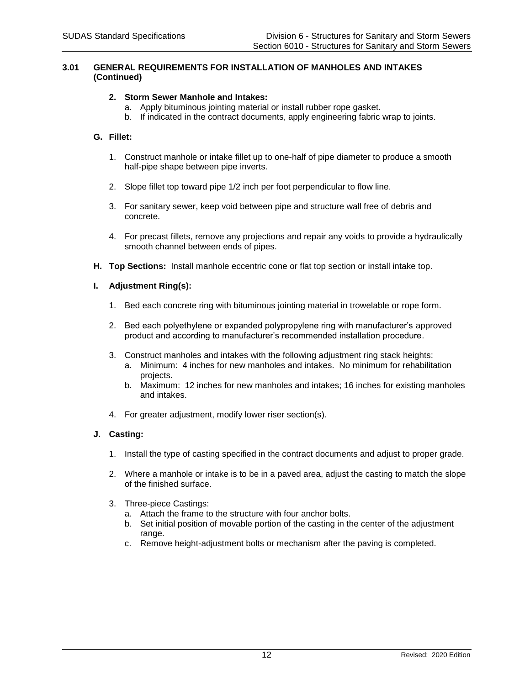#### **3.01 GENERAL REQUIREMENTS FOR INSTALLATION OF MANHOLES AND INTAKES (Continued)**

### **2. Storm Sewer Manhole and Intakes:**

- a. Apply bituminous jointing material or install rubber rope gasket.
- b. If indicated in the contract documents, apply engineering fabric wrap to joints.

# **G. Fillet:**

- 1. Construct manhole or intake fillet up to one-half of pipe diameter to produce a smooth half-pipe shape between pipe inverts.
- 2. Slope fillet top toward pipe 1/2 inch per foot perpendicular to flow line.
- 3. For sanitary sewer, keep void between pipe and structure wall free of debris and concrete.
- 4. For precast fillets, remove any projections and repair any voids to provide a hydraulically smooth channel between ends of pipes.
- **H. Top Sections:** Install manhole eccentric cone or flat top section or install intake top.

#### **I. Adjustment Ring(s):**

- 1. Bed each concrete ring with bituminous jointing material in trowelable or rope form.
- 2. Bed each polyethylene or expanded polypropylene ring with manufacturer's approved product and according to manufacturer's recommended installation procedure.
- 3. Construct manholes and intakes with the following adjustment ring stack heights:
	- a. Minimum: 4 inches for new manholes and intakes. No minimum for rehabilitation projects.
	- b. Maximum: 12 inches for new manholes and intakes; 16 inches for existing manholes and intakes.
- 4. For greater adjustment, modify lower riser section(s).

#### **J. Casting:**

- 1. Install the type of casting specified in the contract documents and adjust to proper grade.
- 2. Where a manhole or intake is to be in a paved area, adjust the casting to match the slope of the finished surface.
- 3. Three-piece Castings:
	- a. Attach the frame to the structure with four anchor bolts.
	- b. Set initial position of movable portion of the casting in the center of the adjustment range.
	- c. Remove height-adjustment bolts or mechanism after the paving is completed.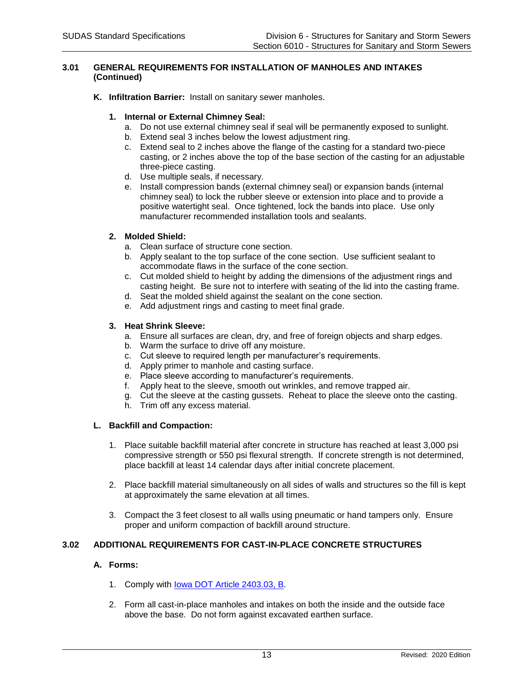#### **3.01 GENERAL REQUIREMENTS FOR INSTALLATION OF MANHOLES AND INTAKES (Continued)**

**K. Infiltration Barrier:** Install on sanitary sewer manholes.

# **1. Internal or External Chimney Seal:**

- a. Do not use external chimney seal if seal will be permanently exposed to sunlight.
- b. Extend seal 3 inches below the lowest adjustment ring.
- c. Extend seal to 2 inches above the flange of the casting for a standard two-piece casting, or 2 inches above the top of the base section of the casting for an adjustable three-piece casting.
- d. Use multiple seals, if necessary.
- e. Install compression bands (external chimney seal) or expansion bands (internal chimney seal) to lock the rubber sleeve or extension into place and to provide a positive watertight seal. Once tightened, lock the bands into place. Use only manufacturer recommended installation tools and sealants.

# **2. Molded Shield:**

- a. Clean surface of structure cone section.
- b. Apply sealant to the top surface of the cone section. Use sufficient sealant to accommodate flaws in the surface of the cone section.
- c. Cut molded shield to height by adding the dimensions of the adjustment rings and casting height. Be sure not to interfere with seating of the lid into the casting frame.
- d. Seat the molded shield against the sealant on the cone section.
- e. Add adjustment rings and casting to meet final grade.

# **3. Heat Shrink Sleeve:**

- a. Ensure all surfaces are clean, dry, and free of foreign objects and sharp edges.
- b. Warm the surface to drive off any moisture.
- c. Cut sleeve to required length per manufacturer's requirements.
- d. Apply primer to manhole and casting surface.
- e. Place sleeve according to manufacturer's requirements.
- f. Apply heat to the sleeve, smooth out wrinkles, and remove trapped air.
- g. Cut the sleeve at the casting gussets. Reheat to place the sleeve onto the casting.
- h. Trim off any excess material.

#### **L. Backfill and Compaction:**

- 1. Place suitable backfill material after concrete in structure has reached at least 3,000 psi compressive strength or 550 psi flexural strength. If concrete strength is not determined, place backfill at least 14 calendar days after initial concrete placement.
- 2. Place backfill material simultaneously on all sides of walls and structures so the fill is kept at approximately the same elevation at all times.
- 3. Compact the 3 feet closest to all walls using pneumatic or hand tampers only. Ensure proper and uniform compaction of backfill around structure.

# **3.02 ADDITIONAL REQUIREMENTS FOR CAST-IN-PLACE CONCRETE STRUCTURES**

#### **A. Forms:**

- 1. Comply with lowa DOT Article 2403.03, B.
- 2. Form all cast-in-place manholes and intakes on both the inside and the outside face above the base. Do not form against excavated earthen surface.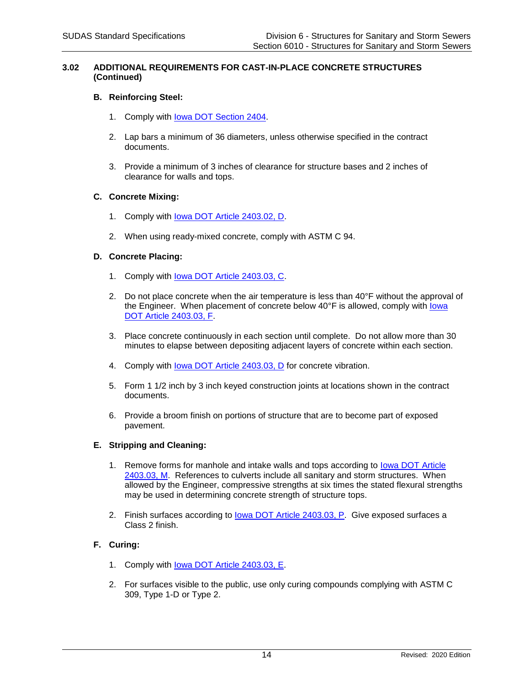#### **3.02 ADDITIONAL REQUIREMENTS FOR CAST-IN-PLACE CONCRETE STRUCTURES (Continued)**

#### **B. Reinforcing Steel:**

- 1. Comply with [Iowa DOT Section 2404.](https://www.iowadot.gov/erl/current/GS/content/2404.htm)
- 2. Lap bars a minimum of 36 diameters, unless otherwise specified in the contract documents.
- 3. Provide a minimum of 3 inches of clearance for structure bases and 2 inches of clearance for walls and tops.

#### **C. Concrete Mixing:**

- 1. Comply with [Iowa DOT Article 2403.02, D.](https://www.iowadot.gov/erl/current/GS/content/2403.htm#Section240302D)
- 2. When using ready-mixed concrete, comply with ASTM C 94.

# **D. Concrete Placing:**

- 1. Comply with Iowa DOT Article [2403.03, C.](https://www.iowadot.gov/erl/current/GS/content/2403.htm#Section240303C)
- 2. Do not place concrete when the air temperature is less than  $40^{\circ}$ F without the approval of the Engineer. When placement of concrete below 40°F is allowed, comply with lowa [DOT Article 2403.03, F.](https://www.iowadot.gov/erl/current/GS/content/2403.htm#Section240303F)
- 3. Place concrete continuously in each section until complete. Do not allow more than 30 minutes to elapse between depositing adjacent layers of concrete within each section.
- 4. Comply with lowa DOT Article 2403.03, D for concrete vibration.
- 5. Form 1 1/2 inch by 3 inch keyed construction joints at locations shown in the contract documents.
- 6. Provide a broom finish on portions of structure that are to become part of exposed pavement.

#### **E. Stripping and Cleaning:**

- 1. Remove forms for manhole and intake walls and tops according to [Iowa DOT Article](https://www.iowadot.gov/erl/current/GS/content/2403.htm#Section240303M)  [2403.03, M.](https://www.iowadot.gov/erl/current/GS/content/2403.htm#Section240303M) References to culverts include all sanitary and storm structures. When allowed by the Engineer, compressive strengths at six times the stated flexural strengths may be used in determining concrete strength of structure tops.
- 2. Finish surfaces according to [Iowa DOT Article 2403.03, P.](https://www.iowadot.gov/erl/current/GS/content/2403.htm#Section240303P) Give exposed surfaces a Class 2 finish.

# **F. Curing:**

- 1. Comply with [Iowa DOT Article 2403.03, E.](https://www.iowadot.gov/erl/current/GS/content/2403.htm#Section240303E)
- 2. For surfaces visible to the public, use only curing compounds complying with ASTM C 309, Type 1-D or Type 2.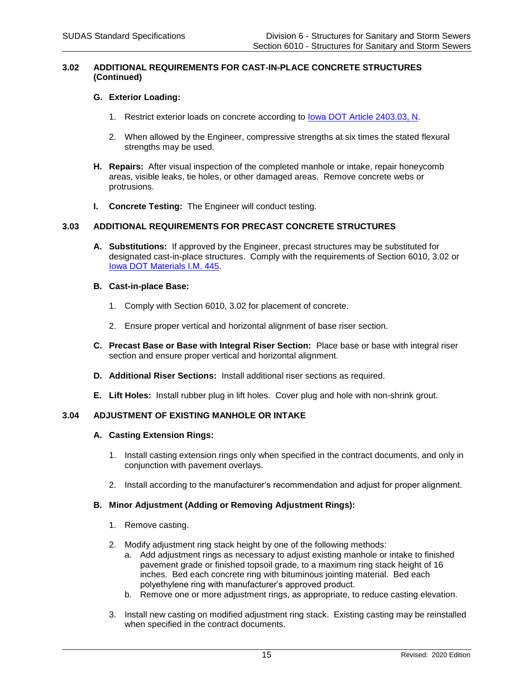#### **3.02 ADDITIONAL REQUIREMENTS FOR CAST-IN-PLACE CONCRETE STRUCTURES (Continued)**

### **G. Exterior Loading:**

- 1. Restrict exterior loads on concrete according to [Iowa DOT Article 2403.03, N.](https://www.iowadot.gov/erl/current/GS/content/2403.htm#Section240303N)
- 2. When allowed by the Engineer, compressive strengths at six times the stated flexural strengths may be used.
- **H. Repairs:** After visual inspection of the completed manhole or intake, repair honeycomb areas, visible leaks, tie holes, or other damaged areas. Remove concrete webs or protrusions.
- **I. Concrete Testing:** The Engineer will conduct testing.

#### **3.03 ADDITIONAL REQUIREMENTS FOR PRECAST CONCRETE STRUCTURES**

**A. Substitutions:** If approved by the Engineer, precast structures may be substituted for designated cast-in-place structures. Comply with the requirements of Section 6010, 3.02 or [Iowa DOT Materials I.M. 445.](https://www.iowadot.gov/erl/current/IM/content/445.htm)

# **B. Cast-in-place Base:**

- 1. Comply with Section 6010, 3.02 for placement of concrete.
- 2. Ensure proper vertical and horizontal alignment of base riser section.
- **C. Precast Base or Base with Integral Riser Section:** Place base or base with integral riser section and ensure proper vertical and horizontal alignment.
- **D. Additional Riser Sections:** Install additional riser sections as required.
- **E. Lift Holes:** Install rubber plug in lift holes. Cover plug and hole with non-shrink grout.

# **3.04 ADJUSTMENT OF EXISTING MANHOLE OR INTAKE**

#### **A. Casting Extension Rings:**

- 1. Install casting extension rings only when specified in the contract documents, and only in conjunction with pavement overlays.
- 2. Install according to the manufacturer's recommendation and adjust for proper alignment.

### **B. Minor Adjustment (Adding or Removing Adjustment Rings):**

- 1. Remove casting.
- 2. Modify adjustment ring stack height by one of the following methods:
	- a. Add adjustment rings as necessary to adjust existing manhole or intake to finished pavement grade or finished topsoil grade, to a maximum ring stack height of 16 inches. Bed each concrete ring with bituminous jointing material. Bed each polyethylene ring with manufacturer's approved product.
	- b. Remove one or more adjustment rings, as appropriate, to reduce casting elevation.
- 3. Install new casting on modified adjustment ring stack. Existing casting may be reinstalled when specified in the contract documents.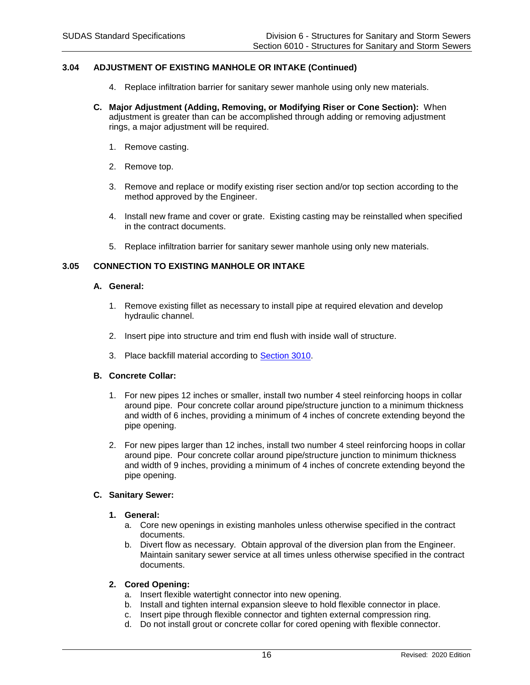# **3.04 ADJUSTMENT OF EXISTING MANHOLE OR INTAKE (Continued)**

- 4. Replace infiltration barrier for sanitary sewer manhole using only new materials.
- **C. Major Adjustment (Adding, Removing, or Modifying Riser or Cone Section):** When adjustment is greater than can be accomplished through adding or removing adjustment rings, a major adjustment will be required.
	- 1. Remove casting.
	- 2. Remove top.
	- 3. Remove and replace or modify existing riser section and/or top section according to the method approved by the Engineer.
	- 4. Install new frame and cover or grate. Existing casting may be reinstalled when specified in the contract documents.
	- 5. Replace infiltration barrier for sanitary sewer manhole using only new materials.

# **3.05 CONNECTION TO EXISTING MANHOLE OR INTAKE**

#### **A. General:**

- 1. Remove existing fillet as necessary to install pipe at required elevation and develop hydraulic channel.
- 2. Insert pipe into structure and trim end flush with inside wall of structure.
- 3. Place backfill material according to [Section 3010.](https://intrans.iastate.edu/app/uploads/sites/15/2020/02/3010.pdf)

# **B. Concrete Collar:**

- 1. For new pipes 12 inches or smaller, install two number 4 steel reinforcing hoops in collar around pipe. Pour concrete collar around pipe/structure junction to a minimum thickness and width of 6 inches, providing a minimum of 4 inches of concrete extending beyond the pipe opening.
- 2. For new pipes larger than 12 inches, install two number 4 steel reinforcing hoops in collar around pipe. Pour concrete collar around pipe/structure junction to minimum thickness and width of 9 inches, providing a minimum of 4 inches of concrete extending beyond the pipe opening.

#### **C. Sanitary Sewer:**

#### **1. General:**

- a. Core new openings in existing manholes unless otherwise specified in the contract documents.
- b. Divert flow as necessary. Obtain approval of the diversion plan from the Engineer. Maintain sanitary sewer service at all times unless otherwise specified in the contract documents.

#### **2. Cored Opening:**

- a. Insert flexible watertight connector into new opening.
- b. Install and tighten internal expansion sleeve to hold flexible connector in place.
- c. Insert pipe through flexible connector and tighten external compression ring.
- d. Do not install grout or concrete collar for cored opening with flexible connector.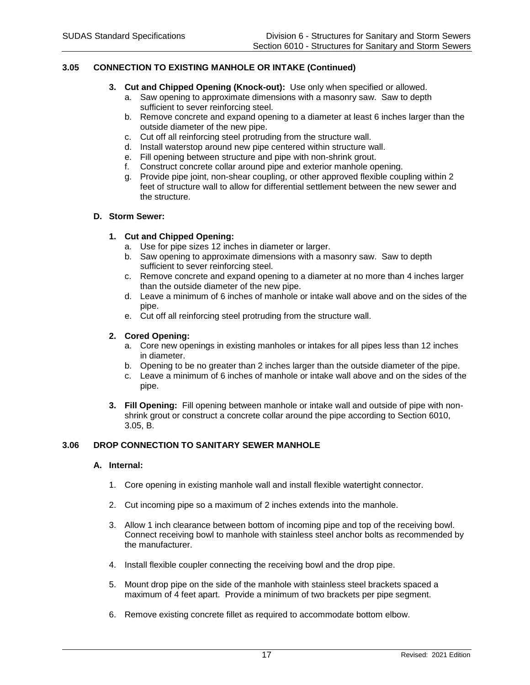# **3.05 CONNECTION TO EXISTING MANHOLE OR INTAKE (Continued)**

- **3. Cut and Chipped Opening (Knock-out):** Use only when specified or allowed.
	- a. Saw opening to approximate dimensions with a masonry saw. Saw to depth sufficient to sever reinforcing steel.
	- b. Remove concrete and expand opening to a diameter at least 6 inches larger than the outside diameter of the new pipe.
	- c. Cut off all reinforcing steel protruding from the structure wall.
	- d. Install waterstop around new pipe centered within structure wall.
	- e. Fill opening between structure and pipe with non-shrink grout.
	- f. Construct concrete collar around pipe and exterior manhole opening.
	- g. Provide pipe joint, non-shear coupling, or other approved flexible coupling within 2 feet of structure wall to allow for differential settlement between the new sewer and the structure.

#### **D. Storm Sewer:**

# **1. Cut and Chipped Opening:**

- a. Use for pipe sizes 12 inches in diameter or larger.
- b. Saw opening to approximate dimensions with a masonry saw. Saw to depth sufficient to sever reinforcing steel.
- c. Remove concrete and expand opening to a diameter at no more than 4 inches larger than the outside diameter of the new pipe.
- d. Leave a minimum of 6 inches of manhole or intake wall above and on the sides of the pipe.
- e. Cut off all reinforcing steel protruding from the structure wall.

# **2. Cored Opening:**

- a. Core new openings in existing manholes or intakes for all pipes less than 12 inches in diameter.
- b. Opening to be no greater than 2 inches larger than the outside diameter of the pipe.
- c. Leave a minimum of 6 inches of manhole or intake wall above and on the sides of the pipe.
- **3. Fill Opening:** Fill opening between manhole or intake wall and outside of pipe with nonshrink grout or construct a concrete collar around the pipe according to Section 6010, 3.05, B.

# **3.06 DROP CONNECTION TO SANITARY SEWER MANHOLE**

#### **A. Internal:**

- 1. Core opening in existing manhole wall and install flexible watertight connector.
- 2. Cut incoming pipe so a maximum of 2 inches extends into the manhole.
- 3. Allow 1 inch clearance between bottom of incoming pipe and top of the receiving bowl. Connect receiving bowl to manhole with stainless steel anchor bolts as recommended by the manufacturer.
- 4. Install flexible coupler connecting the receiving bowl and the drop pipe.
- 5. Mount drop pipe on the side of the manhole with stainless steel brackets spaced a maximum of 4 feet apart. Provide a minimum of two brackets per pipe segment.
- 6. Remove existing concrete fillet as required to accommodate bottom elbow.